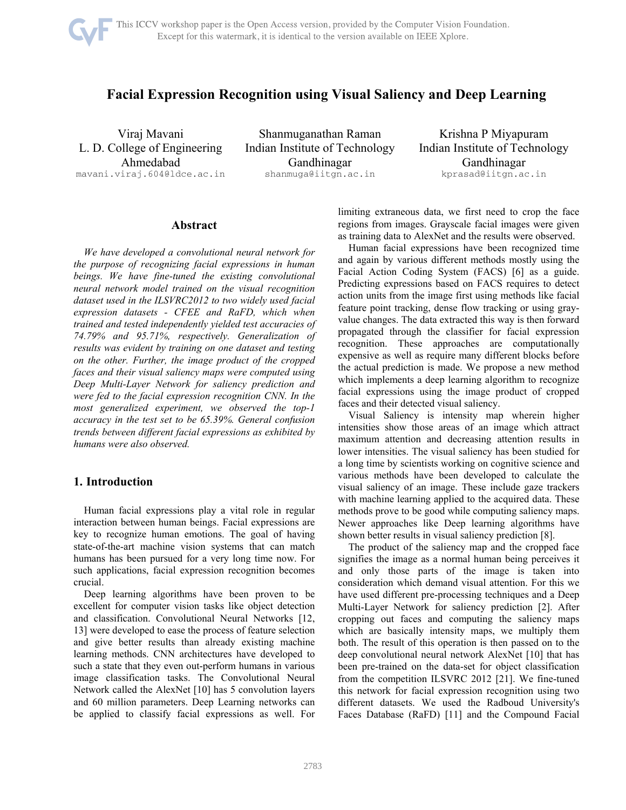

# **Facial Expression Recognition using Visual Saliency and Deep Learning**

Viraj Mavani L. D. College of Engineering Ahmedabad mavani.viraj.604@ldce.ac.in

Shanmuganathan Raman Indian Institute of Technology Gandhinagar shanmuga@iitgn.ac.in

Krishna P Miyapuram Indian Institute of Technology Gandhinagar kprasad@iitgn.ac.in

### **Abstract**

*We have developed a convolutional neural network for the purpose of recognizing facial expressions in human beings. We have fine-tuned the existing convolutional neural network model trained on the visual recognition dataset used in the ILSVRC2012 to two widely used facial expression datasets - CFEE and RaFD, which when trained and tested independently yielded test accuracies of 74.79% and 95.71%, respectively. Generalization of results was evident by training on one dataset and testing on the other. Further, the image product of the cropped faces and their visual saliency maps were computed using Deep Multi-Layer Network for saliency prediction and were fed to the facial expression recognition CNN. In the most generalized experiment, we observed the top-1 accuracy in the test set to be 65.39%. General confusion trends between different facial expressions as exhibited by humans were also observed.* 

## **1. Introduction**

Human facial expressions play a vital role in regular interaction between human beings. Facial expressions are key to recognize human emotions. The goal of having state-of-the-art machine vision systems that can match humans has been pursued for a very long time now. For such applications, facial expression recognition becomes crucial.

Deep learning algorithms have been proven to be excellent for computer vision tasks like object detection and classification. Convolutional Neural Networks [12, 13] were developed to ease the process of feature selection and give better results than already existing machine learning methods. CNN architectures have developed to such a state that they even out-perform humans in various image classification tasks. The Convolutional Neural Network called the AlexNet [10] has 5 convolution layers and 60 million parameters. Deep Learning networks can be applied to classify facial expressions as well. For limiting extraneous data, we first need to crop the face regions from images. Grayscale facial images were given as training data to AlexNet and the results were observed.

Human facial expressions have been recognized time and again by various different methods mostly using the Facial Action Coding System (FACS) [6] as a guide. Predicting expressions based on FACS requires to detect action units from the image first using methods like facial feature point tracking, dense flow tracking or using grayvalue changes. The data extracted this way is then forward propagated through the classifier for facial expression recognition. These approaches are computationally expensive as well as require many different blocks before the actual prediction is made. We propose a new method which implements a deep learning algorithm to recognize facial expressions using the image product of cropped faces and their detected visual saliency.

Visual Saliency is intensity map wherein higher intensities show those areas of an image which attract maximum attention and decreasing attention results in lower intensities. The visual saliency has been studied for a long time by scientists working on cognitive science and various methods have been developed to calculate the visual saliency of an image. These include gaze trackers with machine learning applied to the acquired data. These methods prove to be good while computing saliency maps. Newer approaches like Deep learning algorithms have shown better results in visual saliency prediction [8].

The product of the saliency map and the cropped face signifies the image as a normal human being perceives it and only those parts of the image is taken into consideration which demand visual attention. For this we have used different pre-processing techniques and a Deep Multi-Layer Network for saliency prediction [2]. After cropping out faces and computing the saliency maps which are basically intensity maps, we multiply them both. The result of this operation is then passed on to the deep convolutional neural network AlexNet [10] that has been pre-trained on the data-set for object classification from the competition ILSVRC 2012 [21]. We fine-tuned this network for facial expression recognition using two different datasets. We used the Radboud University's Faces Database (RaFD) [11] and the Compound Facial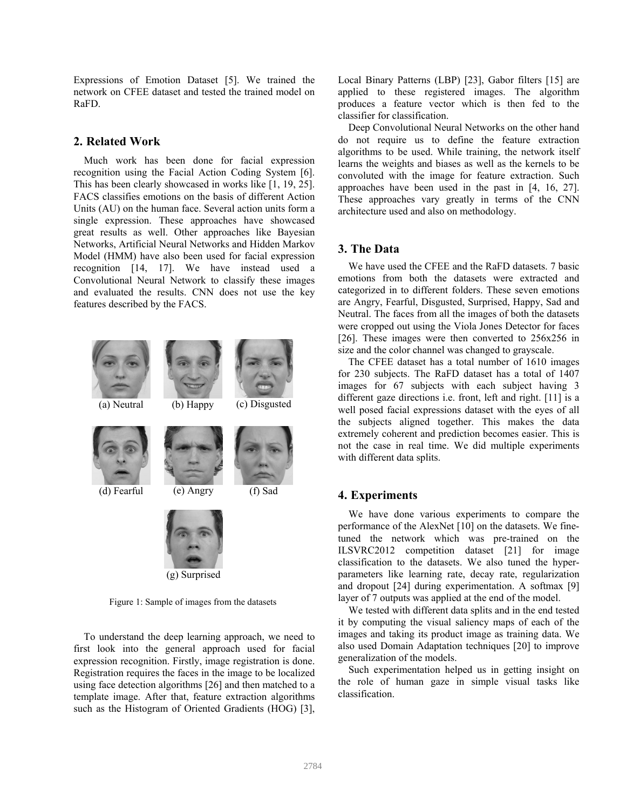Expressions of Emotion Dataset [5]. We trained the network on CFEE dataset and tested the trained model on RaFD.

## **2. Related Work**

Much work has been done for facial expression recognition using the Facial Action Coding System [6]. This has been clearly showcased in works like [1, 19, 25]. FACS classifies emotions on the basis of different Action Units (AU) on the human face. Several action units form a single expression. These approaches have showcased great results as well. Other approaches like Bayesian Networks, Artificial Neural Networks and Hidden Markov Model (HMM) have also been used for facial expression recognition [14, 17]. We have instead used a Convolutional Neural Network to classify these images and evaluated the results. CNN does not use the key features described by the FACS.



 To understand the deep learning approach, we need to first look into the general approach used for facial expression recognition. Firstly, image registration is done. Registration requires the faces in the image to be localized using face detection algorithms [26] and then matched to a template image. After that, feature extraction algorithms such as the Histogram of Oriented Gradients (HOG) [3], Local Binary Patterns (LBP) [23], Gabor filters [15] are applied to these registered images. The algorithm produces a feature vector which is then fed to the classifier for classification.

 Deep Convolutional Neural Networks on the other hand do not require us to define the feature extraction algorithms to be used. While training, the network itself learns the weights and biases as well as the kernels to be convoluted with the image for feature extraction. Such approaches have been used in the past in [4, 16, 27]. These approaches vary greatly in terms of the CNN architecture used and also on methodology.

## **3. The Data**

We have used the CFEE and the RaFD datasets. 7 basic emotions from both the datasets were extracted and categorized in to different folders. These seven emotions are Angry, Fearful, Disgusted, Surprised, Happy, Sad and Neutral. The faces from all the images of both the datasets were cropped out using the Viola Jones Detector for faces [26]. These images were then converted to 256x256 in size and the color channel was changed to grayscale.

The CFEE dataset has a total number of 1610 images for 230 subjects. The RaFD dataset has a total of 1407 images for 67 subjects with each subject having 3 different gaze directions i.e. front, left and right. [11] is a well posed facial expressions dataset with the eyes of all the subjects aligned together. This makes the data extremely coherent and prediction becomes easier. This is not the case in real time. We did multiple experiments with different data splits.

## **4. Experiments**

We have done various experiments to compare the performance of the AlexNet [10] on the datasets. We finetuned the network which was pre-trained on the ILSVRC2012 competition dataset [21] for image classification to the datasets. We also tuned the hyperparameters like learning rate, decay rate, regularization and dropout [24] during experimentation. A softmax [9] layer of 7 outputs was applied at the end of the model.

We tested with different data splits and in the end tested it by computing the visual saliency maps of each of the images and taking its product image as training data. We also used Domain Adaptation techniques [20] to improve generalization of the models.

Such experimentation helped us in getting insight on the role of human gaze in simple visual tasks like classification.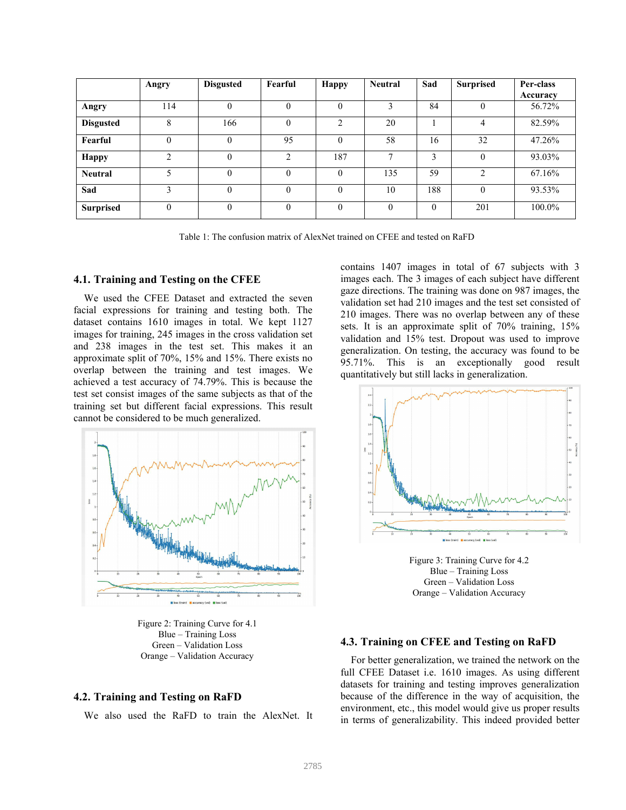|                  | Angry          | <b>Disgusted</b> | Fearful  | <b>Happy</b>   | <b>Neutral</b> | Sad      | <b>Surprised</b> | Per-class |
|------------------|----------------|------------------|----------|----------------|----------------|----------|------------------|-----------|
|                  |                |                  |          |                |                |          |                  | Accuracy  |
| Angry            | 114            | $\theta$         | $\theta$ | $\theta$       |                | 84       | $\theta$         | 56.72%    |
| <b>Disgusted</b> | 8              | 166              | $\theta$ | $\overline{c}$ | 20             |          | 4                | 82.59%    |
| Fearful          | 0              | $\theta$         | 95       | $\theta$       | 58             | 16       | 32               | 47.26%    |
| <b>Happy</b>     | $\mathfrak{D}$ | $\theta$         | 2        | 187            | $\mathbf{r}$   | 3        | $\theta$         | 93.03%    |
| <b>Neutral</b>   | 5              | $\Omega$         | $\Omega$ | $\Omega$       | 135            | 59       | $\overline{2}$   | 67.16%    |
| Sad              |                | $\theta$         | $\theta$ | $\Omega$       | 10             | 188      | $\theta$         | 93.53%    |
| <b>Surprised</b> | $\Omega$       | $\theta$         | $\Omega$ | $\theta$       | $\theta$       | $\theta$ | 201              | 100.0%    |

Table 1: The confusion matrix of AlexNet trained on CFEE and tested on RaFD

#### **4.1. Training and Testing on the CFEE**

We used the CFEE Dataset and extracted the seven facial expressions for training and testing both. The dataset contains 1610 images in total. We kept 1127 images for training, 245 images in the cross validation set and 238 images in the test set. This makes it an approximate split of 70%, 15% and 15%. There exists no overlap between the training and test images. We achieved a test accuracy of 74.79%. This is because the test set consist images of the same subjects as that of the training set but different facial expressions. This result cannot be considered to be much generalized.



Figure 2: Training Curve for 4.1 Blue – Training Loss Green – Validation Loss Orange – Validation Accuracy

#### **4.2. Training and Testing on RaFD**

We also used the RaFD to train the AlexNet. It

contains 1407 images in total of 67 subjects with 3 images each. The 3 images of each subject have different gaze directions. The training was done on 987 images, the validation set had 210 images and the test set consisted of 210 images. There was no overlap between any of these sets. It is an approximate split of 70% training, 15% validation and 15% test. Dropout was used to improve generalization. On testing, the accuracy was found to be 95.71%. This is an exceptionally good result quantitatively but still lacks in generalization.



Figure 3: Training Curve for 4.2 Blue – Training Loss Green – Validation Loss Orange – Validation Accuracy

#### **4.3. Training on CFEE and Testing on RaFD**

For better generalization, we trained the network on the full CFEE Dataset i.e. 1610 images. As using different datasets for training and testing improves generalization because of the difference in the way of acquisition, the environment, etc., this model would give us proper results in terms of generalizability. This indeed provided better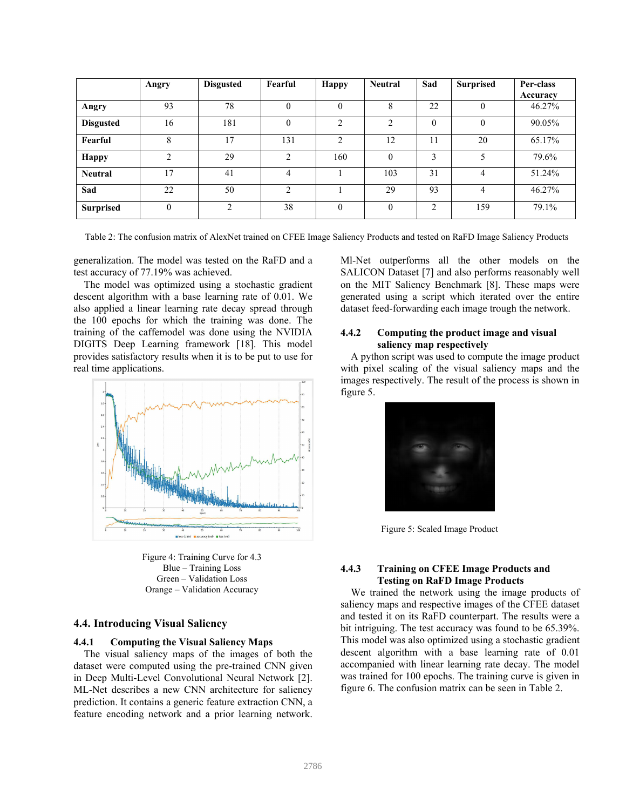|                  | Angry         | <b>Disgusted</b> | Fearful        | <b>Happy</b> | <b>Neutral</b> | Sad      | <b>Surprised</b> | Per-class |
|------------------|---------------|------------------|----------------|--------------|----------------|----------|------------------|-----------|
|                  |               |                  |                |              |                |          |                  | Accuracy  |
| Angry            | 93            | 78               | $\theta$       | 0            | ð              | 22       | $\theta$         | 46.27%    |
| <b>Disgusted</b> | 16            | 181              | $\Omega$       | ↑            | $\bigcirc$     | $\Omega$ | $\Omega$         | 90.05%    |
| Fearful          | 8             | 17               | 131            | ↑            | 12             | 11       | 20               | 65.17%    |
| <b>Happy</b>     | $\mathcal{L}$ | 29               | $\mathfrak{D}$ | 160          |                | 3        | 5                | 79.6%     |
| <b>Neutral</b>   | 17            | 41               | 4              |              | 103            | 31       | 4                | 51.24%    |
| Sad              | 22            | 50               | $\mathfrak{D}$ |              | 29             | 93       | 4                | 46.27%    |
| <b>Surprised</b> | 0             | $\overline{c}$   | 38             | $\theta$     | $\theta$       | 2        | 159              | 79.1%     |

Table 2: The confusion matrix of AlexNet trained on CFEE Image Saliency Products and tested on RaFD Image Saliency Products

generalization. The model was tested on the RaFD and a test accuracy of 77.19% was achieved.

The model was optimized using a stochastic gradient descent algorithm with a base learning rate of 0.01. We also applied a linear learning rate decay spread through the 100 epochs for which the training was done. The training of the caffemodel was done using the NVIDIA DIGITS Deep Learning framework [18]. This model provides satisfactory results when it is to be put to use for real time applications.



Figure 4: Training Curve for 4.3 Blue – Training Loss Green – Validation Loss Orange – Validation Accuracy

#### **4.4. Introducing Visual Saliency**

#### **4.4.1 Computing the Visual Saliency Maps**

The visual saliency maps of the images of both the dataset were computed using the pre-trained CNN given in Deep Multi-Level Convolutional Neural Network [2]. ML-Net describes a new CNN architecture for saliency prediction. It contains a generic feature extraction CNN, a feature encoding network and a prior learning network.

Ml-Net outperforms all the other models on the SALICON Dataset [7] and also performs reasonably well on the MIT Saliency Benchmark [8]. These maps were generated using a script which iterated over the entire dataset feed-forwarding each image trough the network.

#### **4.4.2 Computing the product image and visual saliency map respectively**

A python script was used to compute the image product with pixel scaling of the visual saliency maps and the images respectively. The result of the process is shown in figure 5.



Figure 5: Scaled Image Product

#### **4.4.3 Training on CFEE Image Products and Testing on RaFD Image Products**

We trained the network using the image products of saliency maps and respective images of the CFEE dataset and tested it on its RaFD counterpart. The results were a bit intriguing. The test accuracy was found to be 65.39%. This model was also optimized using a stochastic gradient descent algorithm with a base learning rate of 0.01 accompanied with linear learning rate decay. The model was trained for 100 epochs. The training curve is given in figure 6. The confusion matrix can be seen in Table 2.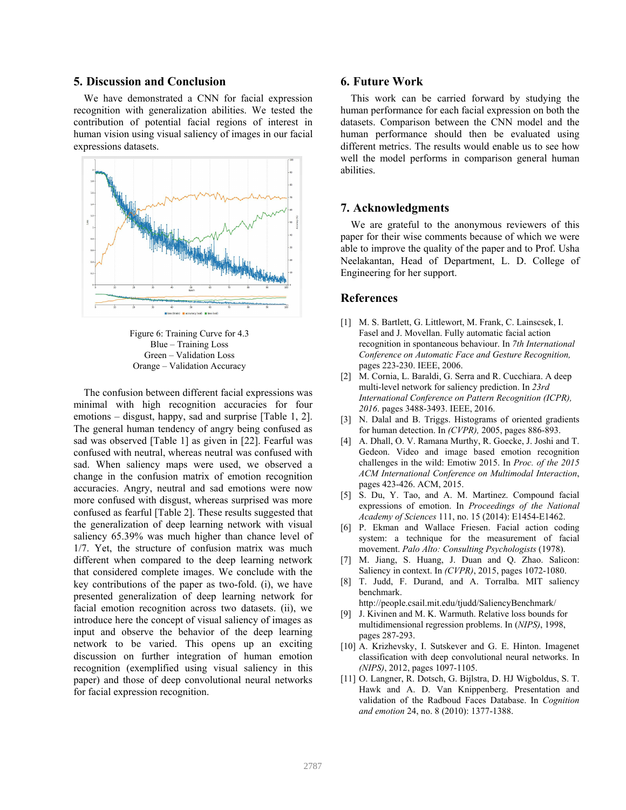#### **5. Discussion and Conclusion**

We have demonstrated a CNN for facial expression recognition with generalization abilities. We tested the contribution of potential facial regions of interest in human vision using visual saliency of images in our facial expressions datasets.



Figure 6: Training Curve for 4.3 Blue – Training Loss Green – Validation Loss Orange – Validation Accuracy

The confusion between different facial expressions was minimal with high recognition accuracies for four emotions – disgust, happy, sad and surprise [Table 1, 2]. The general human tendency of angry being confused as sad was observed [Table 1] as given in [22]. Fearful was confused with neutral, whereas neutral was confused with sad. When saliency maps were used, we observed a change in the confusion matrix of emotion recognition accuracies. Angry, neutral and sad emotions were now more confused with disgust, whereas surprised was more confused as fearful [Table 2]. These results suggested that the generalization of deep learning network with visual saliency 65.39% was much higher than chance level of 1/7. Yet, the structure of confusion matrix was much different when compared to the deep learning network that considered complete images. We conclude with the key contributions of the paper as two-fold. (i), we have presented generalization of deep learning network for facial emotion recognition across two datasets. (ii), we introduce here the concept of visual saliency of images as input and observe the behavior of the deep learning network to be varied. This opens up an exciting discussion on further integration of human emotion recognition (exemplified using visual saliency in this paper) and those of deep convolutional neural networks for facial expression recognition.

#### **6. Future Work**

This work can be carried forward by studying the human performance for each facial expression on both the datasets. Comparison between the CNN model and the human performance should then be evaluated using different metrics. The results would enable us to see how well the model performs in comparison general human abilities.

#### **7. Acknowledgments**

We are grateful to the anonymous reviewers of this paper for their wise comments because of which we were able to improve the quality of the paper and to Prof. Usha Neelakantan, Head of Department, L. D. College of Engineering for her support.

#### **References**

- [1] M. S. Bartlett, G. Littlewort, M. Frank, C. Lainscsek, I. Fasel and J. Movellan. Fully automatic facial action recognition in spontaneous behaviour. In *7th International Conference on Automatic Face and Gesture Recognition,* pages 223-230. IEEE, 2006.
- [2] M. Cornia, L. Baraldi, G. Serra and R. Cucchiara. A deep multi-level network for saliency prediction. In *23rd International Conference on Pattern Recognition (ICPR), 2016*. pages 3488-3493. IEEE, 2016.
- [3] N. Dalal and B. Triggs. Histograms of oriented gradients for human detection. In *(CVPR),* 2005, pages 886-893.
- [4] A. Dhall, O. V. Ramana Murthy, R. Goecke, J. Joshi and T. Gedeon. Video and image based emotion recognition challenges in the wild: Emotiw 2015. In *Proc. of the 2015 ACM International Conference on Multimodal Interaction*, pages 423-426. ACM, 2015.
- [5] S. Du, Y. Tao, and A. M. Martinez. Compound facial expressions of emotion. In *Proceedings of the National Academy of Sciences* 111, no. 15 (2014): E1454-E1462.
- [6] P. Ekman and Wallace Friesen. Facial action coding system: a technique for the measurement of facial movement. *Palo Alto: Consulting Psychologists* (1978).
- [7] M. Jiang, S. Huang, J. Duan and Q. Zhao. Salicon: Saliency in context. In *(CVPR)*, 2015, pages 1072-1080.
- [8] T. Judd, F. Durand, and A. Torralba. MIT saliency benchmark.

http://people.csail.mit.edu/tjudd/SaliencyBenchmark/

- [9] J. Kivinen and M. K. Warmuth. Relative loss bounds for multidimensional regression problems. In (*NIPS)*, 1998, pages 287-293.
- [10] A. Krizhevsky, I. Sutskever and G. E. Hinton. Imagenet classification with deep convolutional neural networks. In *(NIPS)*, 2012, pages 1097-1105.
- [11] O. Langner, R. Dotsch, G. Bijlstra, D. HJ Wigboldus, S. T. Hawk and A. D. Van Knippenberg. Presentation and validation of the Radboud Faces Database. In *Cognition and emotion* 24, no. 8 (2010): 1377-1388.